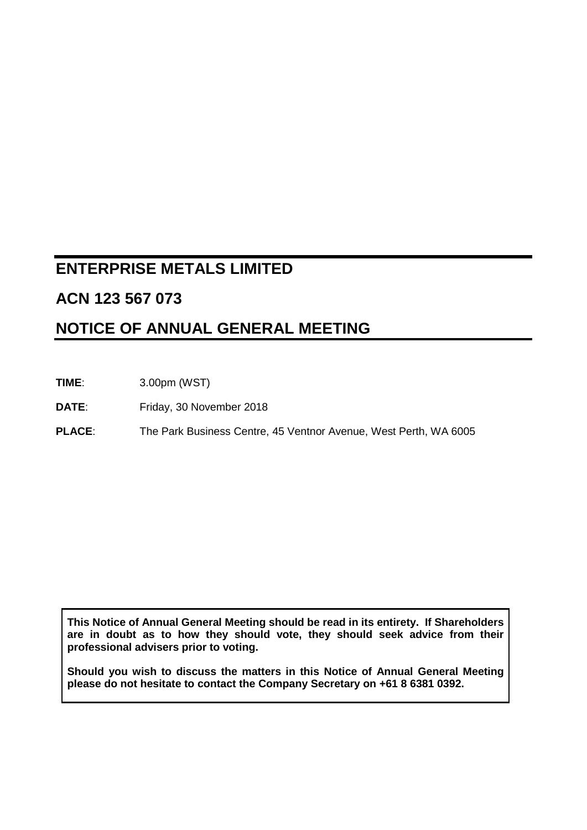# **ENTERPRISE METALS LIMITED**

## **ACN 123 567 073**

# **NOTICE OF ANNUAL GENERAL MEETING**

**TIME**: 3.00pm (WST)

**DATE**: Friday, 30 November 2018

**PLACE**: The Park Business Centre, 45 Ventnor Avenue, West Perth, WA 6005

**This Notice of Annual General Meeting should be read in its entirety. If Shareholders are in doubt as to how they should vote, they should seek advice from their professional advisers prior to voting.**

**Should you wish to discuss the matters in this Notice of Annual General Meeting please do not hesitate to contact the Company Secretary on +61 8 6381 0392.**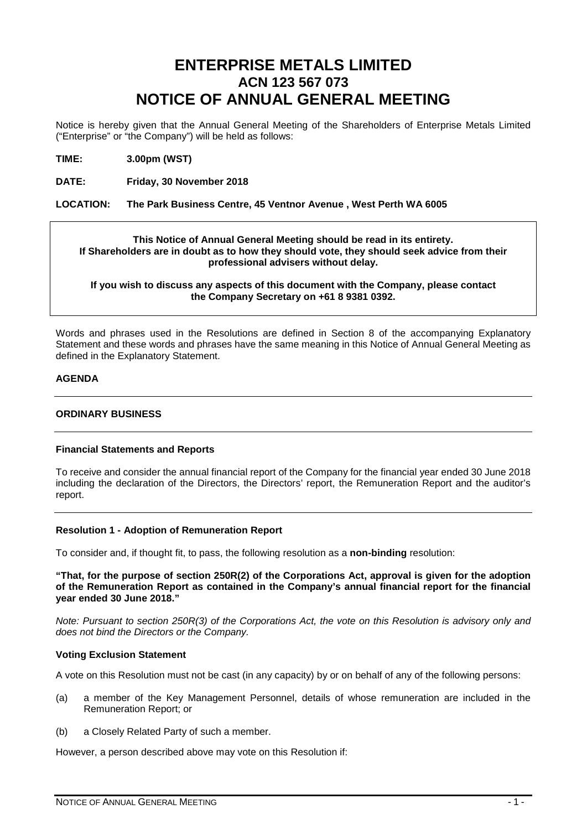## **ENTERPRISE METALS LIMITED ACN 123 567 073 NOTICE OF ANNUAL GENERAL MEETING**

Notice is hereby given that the Annual General Meeting of the Shareholders of Enterprise Metals Limited ("Enterprise" or "the Company") will be held as follows:

**TIME: 3.00pm (WST)**

**DATE: Friday, 30 November 2018**

#### **LOCATION: The Park Business Centre, 45 Ventnor Avenue , West Perth WA 6005**

#### **This Notice of Annual General Meeting should be read in its entirety. If Shareholders are in doubt as to how they should vote, they should seek advice from their professional advisers without delay.**

**If you wish to discuss any aspects of this document with the Company, please contact the Company Secretary on +61 8 9381 0392.**

Words and phrases used in the Resolutions are defined in Section [8](#page-12-0) of the accompanying Explanatory Statement and these words and phrases have the same meaning in this Notice of Annual General Meeting as defined in the Explanatory Statement.

#### **AGENDA**

#### **ORDINARY BUSINESS**

#### **Financial Statements and Reports**

To receive and consider the annual financial report of the Company for the financial year ended 30 June 2018 including the declaration of the Directors, the Directors' report, the Remuneration Report and the auditor's report.

#### **Resolution 1 - Adoption of Remuneration Report**

To consider and, if thought fit, to pass, the following resolution as a **non-binding** resolution:

**"That, for the purpose of section 250R(2) of the Corporations Act, approval is given for the adoption of the Remuneration Report as contained in the Company's annual financial report for the financial year ended 30 June 2018."**

*Note: Pursuant to section 250R(3) of the Corporations Act, the vote on this Resolution is advisory only and does not bind the Directors or the Company.*

#### **Voting Exclusion Statement**

A vote on this Resolution must not be cast (in any capacity) by or on behalf of any of the following persons:

- (a) a member of the Key Management Personnel, details of whose remuneration are included in the Remuneration Report; or
- (b) a Closely Related Party of such a member.

However, a person described above may vote on this Resolution if: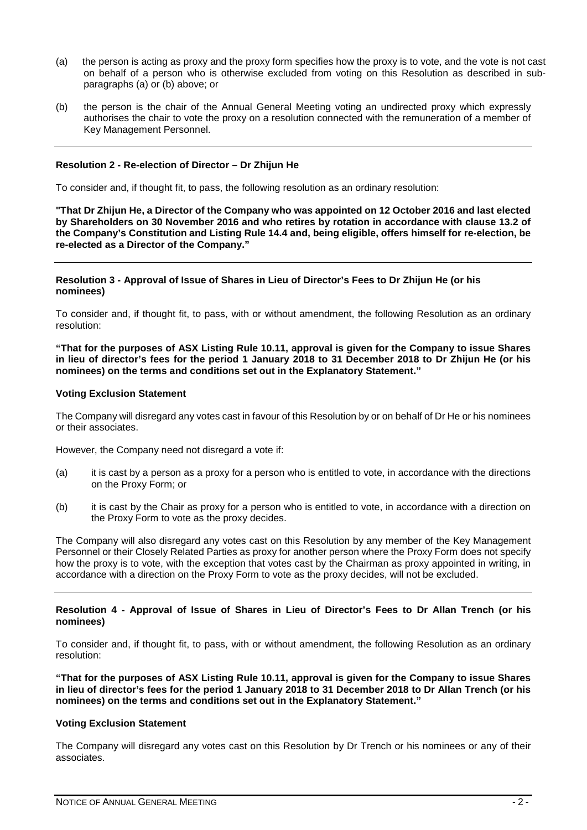- (a) the person is acting as proxy and the proxy form specifies how the proxy is to vote, and the vote is not cast on behalf of a person who is otherwise excluded from voting on this Resolution as described in subparagraphs (a) or (b) above; or
- (b) the person is the chair of the Annual General Meeting voting an undirected proxy which expressly authorises the chair to vote the proxy on a resolution connected with the remuneration of a member of Key Management Personnel.

#### **Resolution 2 - Re-election of Director – Dr Zhijun He**

To consider and, if thought fit, to pass, the following resolution as an ordinary resolution:

**"That Dr Zhijun He, a Director of the Company who was appointed on 12 October 2016 and last elected by Shareholders on 30 November 2016 and who retires by rotation in accordance with clause 13.2 of the Company's Constitution and Listing Rule 14.4 and, being eligible, offers himself for re-election, be re-elected as a Director of the Company."**

#### **Resolution 3 - Approval of Issue of Shares in Lieu of Director's Fees to Dr Zhijun He (or his nominees)**

To consider and, if thought fit, to pass, with or without amendment, the following Resolution as an ordinary resolution:

**"That for the purposes of ASX Listing Rule 10.11, approval is given for the Company to issue Shares in lieu of director's fees for the period 1 January 2018 to 31 December 2018 to Dr Zhijun He (or his nominees) on the terms and conditions set out in the Explanatory Statement."**

#### **Voting Exclusion Statement**

The Company will disregard any votes cast in favour of this Resolution by or on behalf of Dr He or his nominees or their associates.

However, the Company need not disregard a vote if:

- (a) it is cast by a person as a proxy for a person who is entitled to vote, in accordance with the directions on the Proxy Form; or
- (b) it is cast by the Chair as proxy for a person who is entitled to vote, in accordance with a direction on the Proxy Form to vote as the proxy decides.

The Company will also disregard any votes cast on this Resolution by any member of the Key Management Personnel or their Closely Related Parties as proxy for another person where the Proxy Form does not specify how the proxy is to vote, with the exception that votes cast by the Chairman as proxy appointed in writing, in accordance with a direction on the Proxy Form to vote as the proxy decides, will not be excluded.

#### **Resolution 4 - Approval of Issue of Shares in Lieu of Director's Fees to Dr Allan Trench (or his nominees)**

To consider and, if thought fit, to pass, with or without amendment, the following Resolution as an ordinary resolution:

**"That for the purposes of ASX Listing Rule 10.11, approval is given for the Company to issue Shares in lieu of director's fees for the period 1 January 2018 to 31 December 2018 to Dr Allan Trench (or his nominees) on the terms and conditions set out in the Explanatory Statement."**

#### **Voting Exclusion Statement**

The Company will disregard any votes cast on this Resolution by Dr Trench or his nominees or any of their associates.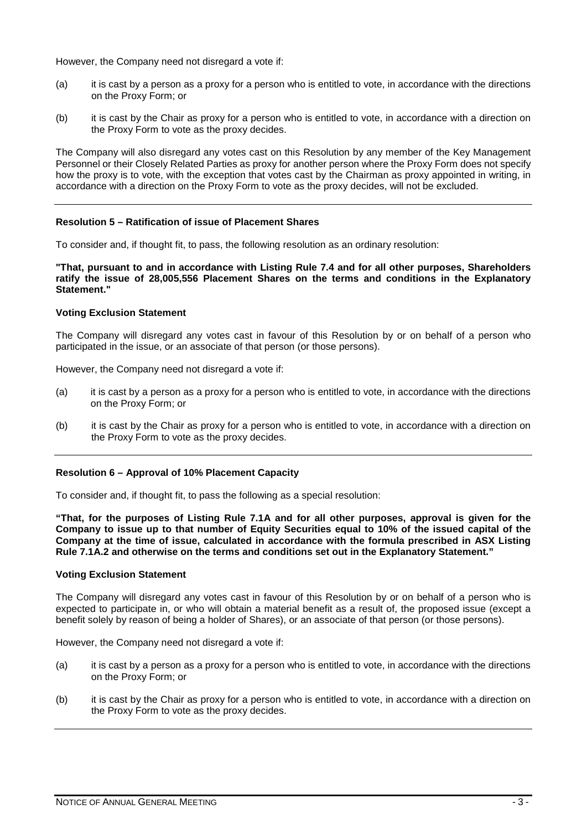However, the Company need not disregard a vote if:

- (a) it is cast by a person as a proxy for a person who is entitled to vote, in accordance with the directions on the Proxy Form; or
- (b) it is cast by the Chair as proxy for a person who is entitled to vote, in accordance with a direction on the Proxy Form to vote as the proxy decides.

The Company will also disregard any votes cast on this Resolution by any member of the Key Management Personnel or their Closely Related Parties as proxy for another person where the Proxy Form does not specify how the proxy is to vote, with the exception that votes cast by the Chairman as proxy appointed in writing, in accordance with a direction on the Proxy Form to vote as the proxy decides, will not be excluded.

#### **Resolution 5 – Ratification of issue of Placement Shares**

To consider and, if thought fit, to pass, the following resolution as an ordinary resolution:

**"That, pursuant to and in accordance with Listing Rule 7.4 and for all other purposes, Shareholders ratify the issue of 28,005,556 Placement Shares on the terms and conditions in the Explanatory Statement."**

#### **Voting Exclusion Statement**

The Company will disregard any votes cast in favour of this Resolution by or on behalf of a person who participated in the issue, or an associate of that person (or those persons).

However, the Company need not disregard a vote if:

- (a) it is cast by a person as a proxy for a person who is entitled to vote, in accordance with the directions on the Proxy Form; or
- (b) it is cast by the Chair as proxy for a person who is entitled to vote, in accordance with a direction on the Proxy Form to vote as the proxy decides.

#### **Resolution 6 – Approval of 10% Placement Capacity**

To consider and, if thought fit, to pass the following as a special resolution:

**"That, for the purposes of Listing Rule 7.1A and for all other purposes, approval is given for the Company to issue up to that number of Equity Securities equal to 10% of the issued capital of the Company at the time of issue, calculated in accordance with the formula prescribed in ASX Listing Rule 7.1A.2 and otherwise on the terms and conditions set out in the Explanatory Statement."**

#### **Voting Exclusion Statement**

The Company will disregard any votes cast in favour of this Resolution by or on behalf of a person who is expected to participate in, or who will obtain a material benefit as a result of, the proposed issue (except a benefit solely by reason of being a holder of Shares), or an associate of that person (or those persons).

However, the Company need not disregard a vote if:

- (a) it is cast by a person as a proxy for a person who is entitled to vote, in accordance with the directions on the Proxy Form; or
- (b) it is cast by the Chair as proxy for a person who is entitled to vote, in accordance with a direction on the Proxy Form to vote as the proxy decides.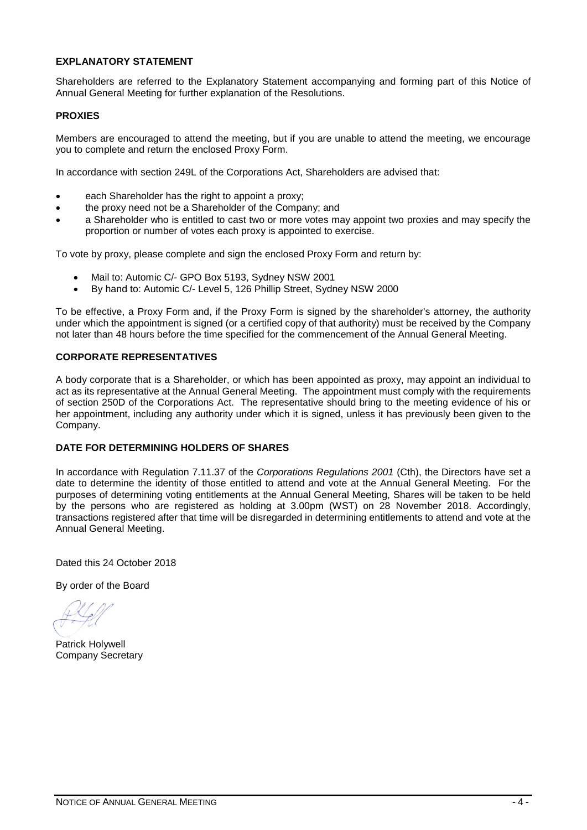#### **EXPLANATORY STATEMENT**

Shareholders are referred to the Explanatory Statement accompanying and forming part of this Notice of Annual General Meeting for further explanation of the Resolutions.

#### **PROXIES**

Members are encouraged to attend the meeting, but if you are unable to attend the meeting, we encourage you to complete and return the enclosed Proxy Form.

In accordance with section 249L of the Corporations Act, Shareholders are advised that:

- each Shareholder has the right to appoint a proxy;
- the proxy need not be a Shareholder of the Company; and
- a Shareholder who is entitled to cast two or more votes may appoint two proxies and may specify the proportion or number of votes each proxy is appointed to exercise.

To vote by proxy, please complete and sign the enclosed Proxy Form and return by:

- Mail to: Automic C/- GPO Box 5193, Sydney NSW 2001
- By hand to: Automic C/- Level 5, 126 Phillip Street, Sydney NSW 2000

To be effective, a Proxy Form and, if the Proxy Form is signed by the shareholder's attorney, the authority under which the appointment is signed (or a certified copy of that authority) must be received by the Company not later than 48 hours before the time specified for the commencement of the Annual General Meeting.

#### **CORPORATE REPRESENTATIVES**

A body corporate that is a Shareholder, or which has been appointed as proxy, may appoint an individual to act as its representative at the Annual General Meeting. The appointment must comply with the requirements of section 250D of the Corporations Act. The representative should bring to the meeting evidence of his or her appointment, including any authority under which it is signed, unless it has previously been given to the Company.

#### **DATE FOR DETERMINING HOLDERS OF SHARES**

In accordance with Regulation 7.11.37 of the *Corporations Regulations 2001* (Cth), the Directors have set a date to determine the identity of those entitled to attend and vote at the Annual General Meeting. For the purposes of determining voting entitlements at the Annual General Meeting, Shares will be taken to be held by the persons who are registered as holding at 3.00pm (WST) on 28 November 2018. Accordingly, transactions registered after that time will be disregarded in determining entitlements to attend and vote at the Annual General Meeting.

Dated this 24 October 2018

By order of the Board

Patrick Holywell Company Secretary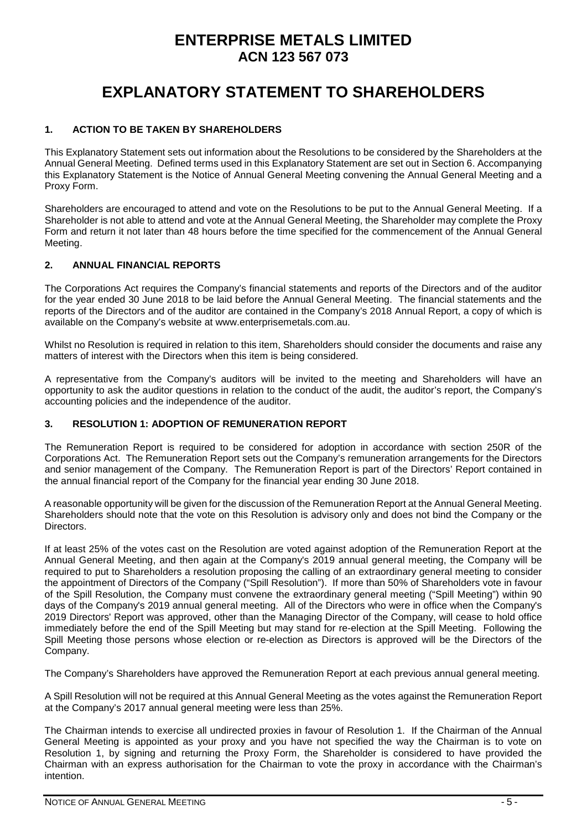## **ENTERPRISE METALS LIMITED ACN 123 567 073**

# **EXPLANATORY STATEMENT TO SHAREHOLDERS**

#### **1. ACTION TO BE TAKEN BY SHAREHOLDERS**

This Explanatory Statement sets out information about the Resolutions to be considered by the Shareholders at the Annual General Meeting. Defined terms used in this Explanatory Statement are set out in Section 6. Accompanying this Explanatory Statement is the Notice of Annual General Meeting convening the Annual General Meeting and a Proxy Form.

Shareholders are encouraged to attend and vote on the Resolutions to be put to the Annual General Meeting. If a Shareholder is not able to attend and vote at the Annual General Meeting, the Shareholder may complete the Proxy Form and return it not later than 48 hours before the time specified for the commencement of the Annual General Meeting.

#### **2. ANNUAL FINANCIAL REPORTS**

The Corporations Act requires the Company's financial statements and reports of the Directors and of the auditor for the year ended 30 June 2018 to be laid before the Annual General Meeting. The financial statements and the reports of the Directors and of the auditor are contained in the Company's 2018 Annual Report, a copy of which is available on the Company's website at www.enterprisemetals.com.au.

Whilst no Resolution is required in relation to this item, Shareholders should consider the documents and raise any matters of interest with the Directors when this item is being considered.

A representative from the Company's auditors will be invited to the meeting and Shareholders will have an opportunity to ask the auditor questions in relation to the conduct of the audit, the auditor's report, the Company's accounting policies and the independence of the auditor.

#### **3. RESOLUTION 1: ADOPTION OF REMUNERATION REPORT**

The Remuneration Report is required to be considered for adoption in accordance with section 250R of the Corporations Act. The Remuneration Report sets out the Company's remuneration arrangements for the Directors and senior management of the Company. The Remuneration Report is part of the Directors' Report contained in the annual financial report of the Company for the financial year ending 30 June 2018.

A reasonable opportunity will be given for the discussion of the Remuneration Report at the Annual General Meeting. Shareholders should note that the vote on this Resolution is advisory only and does not bind the Company or the Directors.

If at least 25% of the votes cast on the Resolution are voted against adoption of the Remuneration Report at the Annual General Meeting, and then again at the Company's 2019 annual general meeting, the Company will be required to put to Shareholders a resolution proposing the calling of an extraordinary general meeting to consider the appointment of Directors of the Company ("Spill Resolution"). If more than 50% of Shareholders vote in favour of the Spill Resolution, the Company must convene the extraordinary general meeting ("Spill Meeting") within 90 days of the Company's 2019 annual general meeting. All of the Directors who were in office when the Company's 2019 Directors' Report was approved, other than the Managing Director of the Company, will cease to hold office immediately before the end of the Spill Meeting but may stand for re-election at the Spill Meeting. Following the Spill Meeting those persons whose election or re-election as Directors is approved will be the Directors of the Company.

The Company's Shareholders have approved the Remuneration Report at each previous annual general meeting.

A Spill Resolution will not be required at this Annual General Meeting as the votes against the Remuneration Report at the Company's 2017 annual general meeting were less than 25%.

The Chairman intends to exercise all undirected proxies in favour of Resolution 1. If the Chairman of the Annual General Meeting is appointed as your proxy and you have not specified the way the Chairman is to vote on Resolution 1, by signing and returning the Proxy Form, the Shareholder is considered to have provided the Chairman with an express authorisation for the Chairman to vote the proxy in accordance with the Chairman's intention.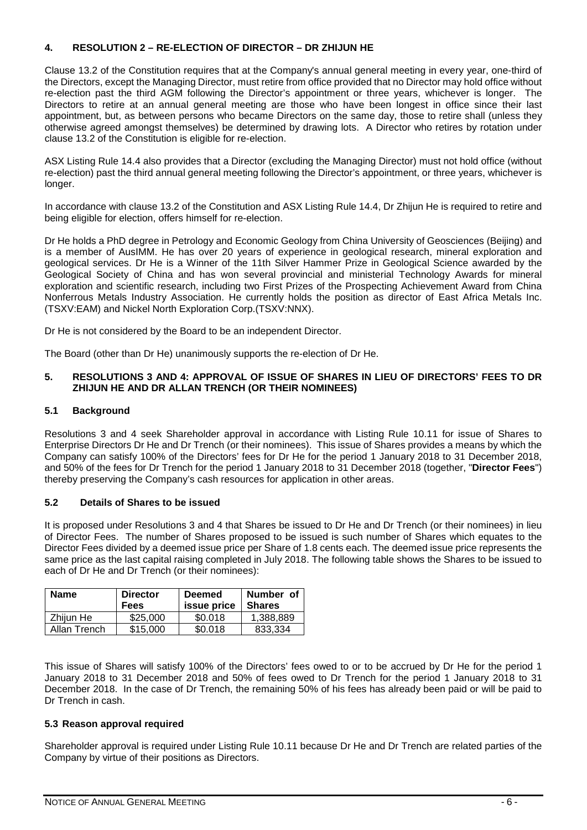#### **4. RESOLUTION 2 – RE-ELECTION OF DIRECTOR – DR ZHIJUN HE**

Clause 13.2 of the Constitution requires that at the Company's annual general meeting in every year, one-third of the Directors, except the Managing Director, must retire from office provided that no Director may hold office without re-election past the third AGM following the Director's appointment or three years, whichever is longer. The Directors to retire at an annual general meeting are those who have been longest in office since their last appointment, but, as between persons who became Directors on the same day, those to retire shall (unless they otherwise agreed amongst themselves) be determined by drawing lots. A Director who retires by rotation under clause 13.2 of the Constitution is eligible for re-election.

ASX Listing Rule 14.4 also provides that a Director (excluding the Managing Director) must not hold office (without re-election) past the third annual general meeting following the Director's appointment, or three years, whichever is longer.

In accordance with clause 13.2 of the Constitution and ASX Listing Rule 14.4, Dr Zhijun He is required to retire and being eligible for election, offers himself for re-election.

Dr He holds a PhD degree in Petrology and Economic Geology from China University of Geosciences (Beijing) and is a member of AusIMM. He has over 20 years of experience in geological research, mineral exploration and geological services. Dr He is a Winner of the 11th Silver Hammer Prize in Geological Science awarded by the Geological Society of China and has won several provincial and ministerial Technology Awards for mineral exploration and scientific research, including two First Prizes of the Prospecting Achievement Award from China Nonferrous Metals Industry Association. He currently holds the position as director of East Africa Metals Inc. (TSXV:EAM) and Nickel North Exploration Corp.(TSXV:NNX).

Dr He is not considered by the Board to be an independent Director.

The Board (other than Dr He) unanimously supports the re-election of Dr He.

#### **5. RESOLUTIONS 3 AND 4: APPROVAL OF ISSUE OF SHARES IN LIEU OF DIRECTORS' FEES TO DR ZHIJUN HE AND DR ALLAN TRENCH (OR THEIR NOMINEES)**

#### **5.1 Background**

Resolutions 3 and 4 seek Shareholder approval in accordance with Listing Rule 10.11 for issue of Shares to Enterprise Directors Dr He and Dr Trench (or their nominees). This issue of Shares provides a means by which the Company can satisfy 100% of the Directors' fees for Dr He for the period 1 January 2018 to 31 December 2018, and 50% of the fees for Dr Trench for the period 1 January 2018 to 31 December 2018 (together, "**Director Fees**") thereby preserving the Company's cash resources for application in other areas.

#### **5.2 Details of Shares to be issued**

It is proposed under Resolutions 3 and 4 that Shares be issued to Dr He and Dr Trench (or their nominees) in lieu of Director Fees. The number of Shares proposed to be issued is such number of Shares which equates to the Director Fees divided by a deemed issue price per Share of 1.8 cents each. The deemed issue price represents the same price as the last capital raising completed in July 2018. The following table shows the Shares to be issued to each of Dr He and Dr Trench (or their nominees):

| <b>Name</b>  | <b>Director</b><br>Fees | <b>Deemed</b><br>issue price | Number of<br><b>Shares</b> |
|--------------|-------------------------|------------------------------|----------------------------|
| Zhijun He    | \$25,000                | \$0.018                      | 1,388,889                  |
| Allan Trench | \$15,000                | \$0.018                      | 833.334                    |

This issue of Shares will satisfy 100% of the Directors' fees owed to or to be accrued by Dr He for the period 1 January 2018 to 31 December 2018 and 50% of fees owed to Dr Trench for the period 1 January 2018 to 31 December 2018. In the case of Dr Trench, the remaining 50% of his fees has already been paid or will be paid to Dr Trench in cash.

#### **5.3 Reason approval required**

Shareholder approval is required under Listing Rule 10.11 because Dr He and Dr Trench are related parties of the Company by virtue of their positions as Directors.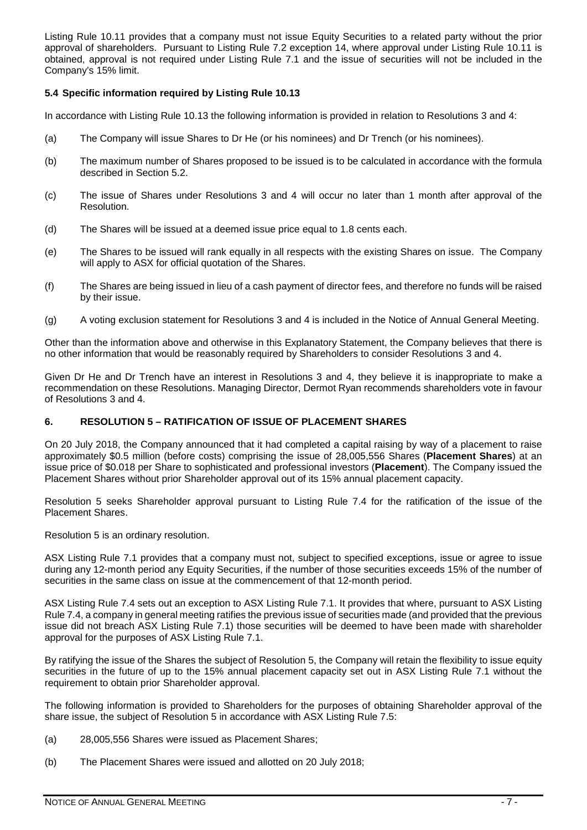Listing Rule 10.11 provides that a company must not issue Equity Securities to a related party without the prior approval of shareholders. Pursuant to Listing Rule 7.2 exception 14, where approval under Listing Rule 10.11 is obtained, approval is not required under Listing Rule 7.1 and the issue of securities will not be included in the Company's 15% limit.

#### **5.4 Specific information required by Listing Rule 10.13**

In accordance with Listing Rule 10.13 the following information is provided in relation to Resolutions 3 and 4:

- (a) The Company will issue Shares to Dr He (or his nominees) and Dr Trench (or his nominees).
- (b) The maximum number of Shares proposed to be issued is to be calculated in accordance with the formula described in Section 5.2.
- (c) The issue of Shares under Resolutions 3 and 4 will occur no later than 1 month after approval of the Resolution.
- (d) The Shares will be issued at a deemed issue price equal to 1.8 cents each.
- (e) The Shares to be issued will rank equally in all respects with the existing Shares on issue. The Company will apply to ASX for official quotation of the Shares.
- (f) The Shares are being issued in lieu of a cash payment of director fees, and therefore no funds will be raised by their issue.
- (g) A voting exclusion statement for Resolutions 3 and 4 is included in the Notice of Annual General Meeting.

Other than the information above and otherwise in this Explanatory Statement, the Company believes that there is no other information that would be reasonably required by Shareholders to consider Resolutions 3 and 4.

Given Dr He and Dr Trench have an interest in Resolutions 3 and 4, they believe it is inappropriate to make a recommendation on these Resolutions. Managing Director, Dermot Ryan recommends shareholders vote in favour of Resolutions 3 and 4.

#### **6. RESOLUTION 5 – RATIFICATION OF ISSUE OF PLACEMENT SHARES**

On 20 July 2018, the Company announced that it had completed a capital raising by way of a placement to raise approximately \$0.5 million (before costs) comprising the issue of 28,005,556 Shares (**Placement Shares**) at an issue price of \$0.018 per Share to sophisticated and professional investors (**Placement**). The Company issued the Placement Shares without prior Shareholder approval out of its 15% annual placement capacity.

Resolution 5 seeks Shareholder approval pursuant to Listing Rule 7.4 for the ratification of the issue of the Placement Shares.

Resolution 5 is an ordinary resolution.

ASX Listing Rule 7.1 provides that a company must not, subject to specified exceptions, issue or agree to issue during any 12-month period any Equity Securities, if the number of those securities exceeds 15% of the number of securities in the same class on issue at the commencement of that 12-month period.

ASX Listing Rule 7.4 sets out an exception to ASX Listing Rule 7.1. It provides that where, pursuant to ASX Listing Rule 7.4, a company in general meeting ratifies the previous issue of securities made (and provided that the previous issue did not breach ASX Listing Rule 7.1) those securities will be deemed to have been made with shareholder approval for the purposes of ASX Listing Rule 7.1.

By ratifying the issue of the Shares the subject of Resolution 5, the Company will retain the flexibility to issue equity securities in the future of up to the 15% annual placement capacity set out in ASX Listing Rule 7.1 without the requirement to obtain prior Shareholder approval.

The following information is provided to Shareholders for the purposes of obtaining Shareholder approval of the share issue, the subject of Resolution 5 in accordance with ASX Listing Rule 7.5:

- (a) 28,005,556 Shares were issued as Placement Shares;
- (b) The Placement Shares were issued and allotted on 20 July 2018;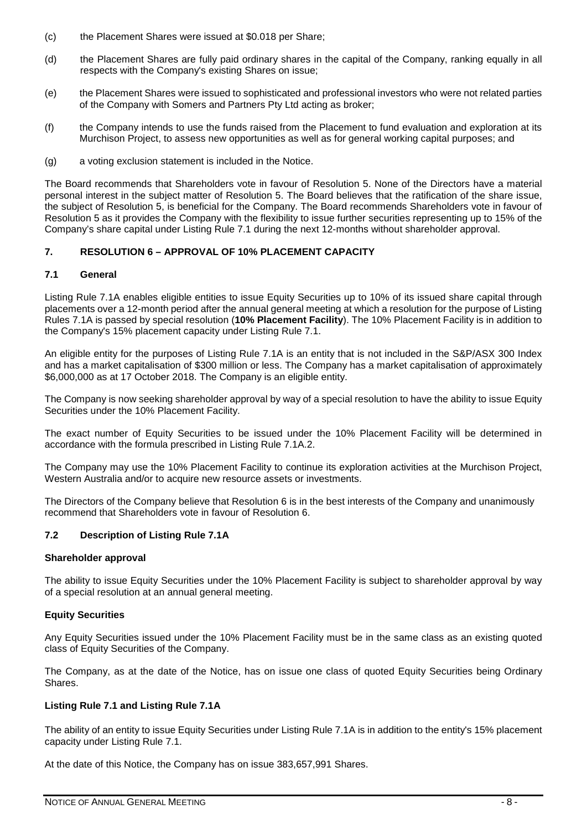- (c) the Placement Shares were issued at \$0.018 per Share;
- (d) the Placement Shares are fully paid ordinary shares in the capital of the Company, ranking equally in all respects with the Company's existing Shares on issue;
- (e) the Placement Shares were issued to sophisticated and professional investors who were not related parties of the Company with Somers and Partners Pty Ltd acting as broker;
- (f) the Company intends to use the funds raised from the Placement to fund evaluation and exploration at its Murchison Project, to assess new opportunities as well as for general working capital purposes; and
- (g) a voting exclusion statement is included in the Notice.

The Board recommends that Shareholders vote in favour of Resolution 5. None of the Directors have a material personal interest in the subject matter of Resolution 5. The Board believes that the ratification of the share issue, the subject of Resolution 5, is beneficial for the Company. The Board recommends Shareholders vote in favour of Resolution 5 as it provides the Company with the flexibility to issue further securities representing up to 15% of the Company's share capital under Listing Rule 7.1 during the next 12-months without shareholder approval.

#### **7. RESOLUTION 6 – APPROVAL OF 10% PLACEMENT CAPACITY**

#### **7.1 General**

Listing Rule 7.1A enables eligible entities to issue Equity Securities up to 10% of its issued share capital through placements over a 12-month period after the annual general meeting at which a resolution for the purpose of Listing Rules 7.1A is passed by special resolution (**10% Placement Facility**). The 10% Placement Facility is in addition to the Company's 15% placement capacity under Listing Rule 7.1.

An eligible entity for the purposes of Listing Rule 7.1A is an entity that is not included in the S&P/ASX 300 Index and has a market capitalisation of \$300 million or less. The Company has a market capitalisation of approximately \$6,000,000 as at 17 October 2018. The Company is an eligible entity.

The Company is now seeking shareholder approval by way of a special resolution to have the ability to issue Equity Securities under the 10% Placement Facility.

The exact number of Equity Securities to be issued under the 10% Placement Facility will be determined in accordance with the formula prescribed in Listing Rule 7.1A.2.

The Company may use the 10% Placement Facility to continue its exploration activities at the Murchison Project, Western Australia and/or to acquire new resource assets or investments.

The Directors of the Company believe that Resolution 6 is in the best interests of the Company and unanimously recommend that Shareholders vote in favour of Resolution 6.

#### **7.2 Description of Listing Rule 7.1A**

#### **Shareholder approval**

The ability to issue Equity Securities under the 10% Placement Facility is subject to shareholder approval by way of a special resolution at an annual general meeting.

#### **Equity Securities**

Any Equity Securities issued under the 10% Placement Facility must be in the same class as an existing quoted class of Equity Securities of the Company.

The Company, as at the date of the Notice, has on issue one class of quoted Equity Securities being Ordinary Shares.

#### **Listing Rule 7.1 and Listing Rule 7.1A**

The ability of an entity to issue Equity Securities under Listing Rule 7.1A is in addition to the entity's 15% placement capacity under Listing Rule 7.1.

At the date of this Notice, the Company has on issue 383,657,991 Shares.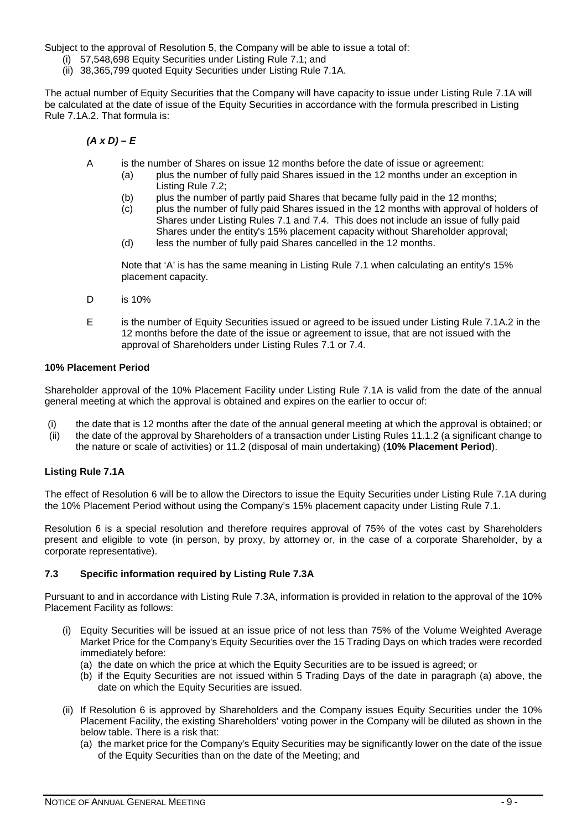Subject to the approval of Resolution 5, the Company will be able to issue a total of:

- (i) 57,548,698 Equity Securities under Listing Rule 7.1; and
- (ii) 38,365,799 quoted Equity Securities under Listing Rule 7.1A.

The actual number of Equity Securities that the Company will have capacity to issue under Listing Rule 7.1A will be calculated at the date of issue of the Equity Securities in accordance with the formula prescribed in Listing Rule 7.1A.2. That formula is:

*(A x D) – E*

- A is the number of Shares on issue 12 months before the date of issue or agreement:
	- (a) plus the number of fully paid Shares issued in the 12 months under an exception in Listing Rule 7.2;
	-
	- (b) plus the number of partly paid Shares that became fully paid in the 12 months;<br>(c) plus the number of fully paid Shares issued in the 12 months with approval of h plus the number of fully paid Shares issued in the 12 months with approval of holders of Shares under Listing Rules 7.1 and 7.4. This does not include an issue of fully paid Shares under the entity's 15% placement capacity without Shareholder approval;
	- (d) less the number of fully paid Shares cancelled in the 12 months.

Note that 'A' is has the same meaning in Listing Rule 7.1 when calculating an entity's 15% placement capacity.

- D is 10%
- E is the number of Equity Securities issued or agreed to be issued under Listing Rule 7.1A.2 in the 12 months before the date of the issue or agreement to issue, that are not issued with the approval of Shareholders under Listing Rules 7.1 or 7.4.

#### **10% Placement Period**

Shareholder approval of the 10% Placement Facility under Listing Rule 7.1A is valid from the date of the annual general meeting at which the approval is obtained and expires on the earlier to occur of:

- (i) the date that is 12 months after the date of the annual general meeting at which the approval is obtained; or<br>(ii) the date of the approval by Shareholders of a transaction under Listing Rules 11.1.2 (a significant cha
- the date of the approval by Shareholders of a transaction under Listing Rules 11.1.2 (a significant change to the nature or scale of activities) or 11.2 (disposal of main undertaking) (**10% Placement Period**).

#### **Listing Rule 7.1A**

The effect of Resolution 6 will be to allow the Directors to issue the Equity Securities under Listing Rule 7.1A during the 10% Placement Period without using the Company's 15% placement capacity under Listing Rule 7.1.

Resolution 6 is a special resolution and therefore requires approval of 75% of the votes cast by Shareholders present and eligible to vote (in person, by proxy, by attorney or, in the case of a corporate Shareholder, by a corporate representative).

#### **7.3 Specific information required by Listing Rule 7.3A**

Pursuant to and in accordance with Listing Rule 7.3A, information is provided in relation to the approval of the 10% Placement Facility as follows:

- (i) Equity Securities will be issued at an issue price of not less than 75% of the Volume Weighted Average Market Price for the Company's Equity Securities over the 15 Trading Days on which trades were recorded immediately before:
	- (a) the date on which the price at which the Equity Securities are to be issued is agreed; or
	- (b) if the Equity Securities are not issued within 5 Trading Days of the date in paragraph (a) above, the date on which the Equity Securities are issued.
- (ii) If Resolution 6 is approved by Shareholders and the Company issues Equity Securities under the 10% Placement Facility, the existing Shareholders' voting power in the Company will be diluted as shown in the below table. There is a risk that:
	- (a) the market price for the Company's Equity Securities may be significantly lower on the date of the issue of the Equity Securities than on the date of the Meeting; and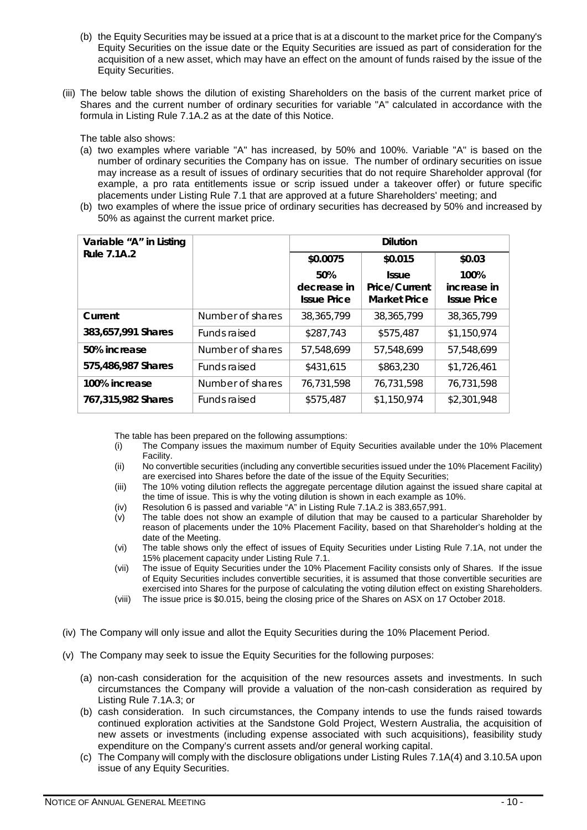- (b) the Equity Securities may be issued at a price that is at a discount to the market price for the Company's Equity Securities on the issue date or the Equity Securities are issued as part of consideration for the acquisition of a new asset, which may have an effect on the amount of funds raised by the issue of the Equity Securities.
- (iii) The below table shows the dilution of existing Shareholders on the basis of the current market price of Shares and the current number of ordinary securities for variable "A" calculated in accordance with the formula in Listing Rule 7.1A.2 as at the date of this Notice.

The table also shows:

- (a) two examples where variable "A" has increased, by 50% and 100%. Variable "A" is based on the number of ordinary securities the Company has on issue. The number of ordinary securities on issue may increase as a result of issues of ordinary securities that do not require Shareholder approval (for example, a pro rata entitlements issue or scrip issued under a takeover offer) or future specific placements under Listing Rule 7.1 that are approved at a future Shareholders' meeting; and
- (b) two examples of where the issue price of ordinary securities has decreased by 50% and increased by 50% as against the current market price.

| Variable "A" in Listing |                  |                                          | <b>Dilution</b>                                             |                                           |
|-------------------------|------------------|------------------------------------------|-------------------------------------------------------------|-------------------------------------------|
| <b>Rule 7.1A.2</b>      |                  | \$0.0075                                 | \$0.015                                                     | \$0.03                                    |
|                         |                  | 50%<br>decrease in<br><b>Issue Price</b> | <b>Issue</b><br><b>Price/Current</b><br><b>Market Price</b> | 100%<br>increase in<br><b>Issue Price</b> |
| Current                 | Number of shares | 38,365,799                               | 38,365,799                                                  | 38,365,799                                |
| 383,657,991 Shares      | Funds raised     | \$287.743                                | \$575,487                                                   | \$1,150,974                               |
| 50% increase            | Number of shares | 57,548,699                               | 57,548,699                                                  | 57,548,699                                |
| 575,486,987 Shares      | Funds raised     | \$431,615                                | \$863,230                                                   | \$1,726,461                               |
| 100% increase           | Number of shares | 76,731,598                               | 76,731,598                                                  | 76,731,598                                |
| 767,315,982 Shares      | Funds raised     | \$575,487                                | \$1,150,974                                                 | \$2,301,948                               |

The table has been prepared on the following assumptions:

- (i) The Company issues the maximum number of Equity Securities available under the 10% Placement Facility.
- (ii) No convertible securities (including any convertible securities issued under the 10% Placement Facility) are exercised into Shares before the date of the issue of the Equity Securities;
- (iii) The 10% voting dilution reflects the aggregate percentage dilution against the issued share capital at the time of issue. This is why the voting dilution is shown in each example as 10%.
- (iv) Resolution 6 is passed and variable "A" in Listing Rule 7.1A.2 is 383,657,991.
- (v) The table does not show an example of dilution that may be caused to a particular Shareholder by reason of placements under the 10% Placement Facility, based on that Shareholder's holding at the date of the Meeting.
- (vi) The table shows only the effect of issues of Equity Securities under Listing Rule 7.1A, not under the 15% placement capacity under Listing Rule 7.1.
- (vii) The issue of Equity Securities under the 10% Placement Facility consists only of Shares. If the issue of Equity Securities includes convertible securities, it is assumed that those convertible securities are exercised into Shares for the purpose of calculating the voting dilution effect on existing Shareholders.
- (viii) The issue price is \$0.015, being the closing price of the Shares on ASX on 17 October 2018.
- (iv) The Company will only issue and allot the Equity Securities during the 10% Placement Period.
- (v) The Company may seek to issue the Equity Securities for the following purposes:
	- (a) non-cash consideration for the acquisition of the new resources assets and investments. In such circumstances the Company will provide a valuation of the non-cash consideration as required by Listing Rule 7.1A.3; or
	- (b) cash consideration. In such circumstances, the Company intends to use the funds raised towards continued exploration activities at the Sandstone Gold Project, Western Australia, the acquisition of new assets or investments (including expense associated with such acquisitions), feasibility study expenditure on the Company's current assets and/or general working capital.
	- (c) The Company will comply with the disclosure obligations under Listing Rules 7.1A(4) and 3.10.5A upon issue of any Equity Securities.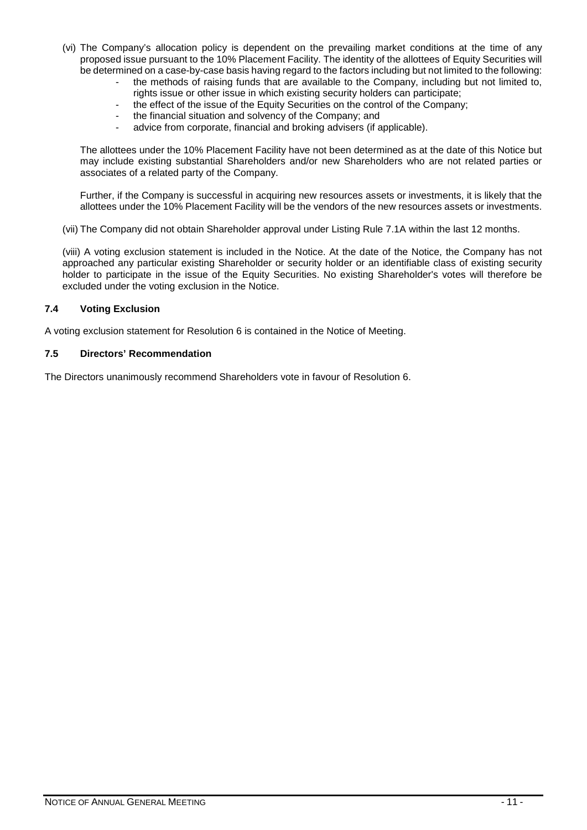- (vi) The Company's allocation policy is dependent on the prevailing market conditions at the time of any proposed issue pursuant to the 10% Placement Facility. The identity of the allottees of Equity Securities will be determined on a case-by-case basis having regard to the factors including but not limited to the following:
	- the methods of raising funds that are available to the Company, including but not limited to, rights issue or other issue in which existing security holders can participate;
		- the effect of the issue of the Equity Securities on the control of the Company;
	- the financial situation and solvency of the Company; and
	- advice from corporate, financial and broking advisers (if applicable).

The allottees under the 10% Placement Facility have not been determined as at the date of this Notice but may include existing substantial Shareholders and/or new Shareholders who are not related parties or associates of a related party of the Company.

Further, if the Company is successful in acquiring new resources assets or investments, it is likely that the allottees under the 10% Placement Facility will be the vendors of the new resources assets or investments.

(vii) The Company did not obtain Shareholder approval under Listing Rule 7.1A within the last 12 months.

(viii) A voting exclusion statement is included in the Notice. At the date of the Notice, the Company has not approached any particular existing Shareholder or security holder or an identifiable class of existing security holder to participate in the issue of the Equity Securities. No existing Shareholder's votes will therefore be excluded under the voting exclusion in the Notice.

#### **7.4 Voting Exclusion**

A voting exclusion statement for Resolution 6 is contained in the Notice of Meeting.

#### **7.5 Directors' Recommendation**

The Directors unanimously recommend Shareholders vote in favour of Resolution 6.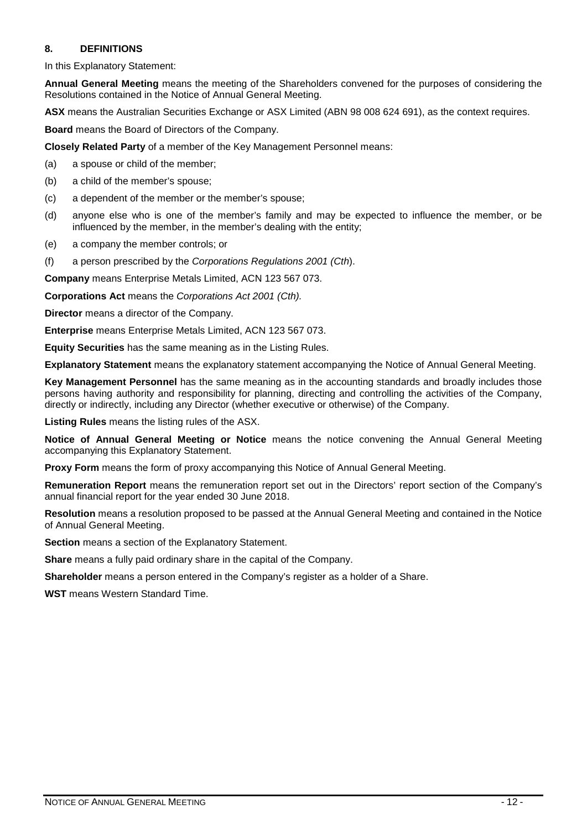#### <span id="page-12-0"></span>**8. DEFINITIONS**

In this Explanatory Statement:

**Annual General Meeting** means the meeting of the Shareholders convened for the purposes of considering the Resolutions contained in the Notice of Annual General Meeting.

**ASX** means the Australian Securities Exchange or ASX Limited (ABN 98 008 624 691), as the context requires.

**Board** means the Board of Directors of the Company.

**Closely Related Party** of a member of the Key Management Personnel means:

(a) a spouse or child of the member;

- (b) a child of the member's spouse;
- (c) a dependent of the member or the member's spouse;
- (d) anyone else who is one of the member's family and may be expected to influence the member, or be influenced by the member, in the member's dealing with the entity;
- (e) a company the member controls; or
- (f) a person prescribed by the *Corporations Regulations 2001 (Cth*).

**Company** means Enterprise Metals Limited, ACN 123 567 073.

**Corporations Act** means the *Corporations Act 2001 (Cth).*

**Director** means a director of the Company.

**Enterprise** means Enterprise Metals Limited, ACN 123 567 073.

**Equity Securities** has the same meaning as in the Listing Rules.

**Explanatory Statement** means the explanatory statement accompanying the Notice of Annual General Meeting.

**Key Management Personnel** has the same meaning as in the accounting standards and broadly includes those persons having authority and responsibility for planning, directing and controlling the activities of the Company, directly or indirectly, including any Director (whether executive or otherwise) of the Company.

**Listing Rules** means the listing rules of the ASX.

**Notice of Annual General Meeting or Notice** means the notice convening the Annual General Meeting accompanying this Explanatory Statement.

**Proxy Form** means the form of proxy accompanying this Notice of Annual General Meeting.

**Remuneration Report** means the remuneration report set out in the Directors' report section of the Company's annual financial report for the year ended 30 June 2018.

**Resolution** means a resolution proposed to be passed at the Annual General Meeting and contained in the Notice of Annual General Meeting.

**Section** means a section of the Explanatory Statement.

**Share** means a fully paid ordinary share in the capital of the Company.

**Shareholder** means a person entered in the Company's register as a holder of a Share.

**WST** means Western Standard Time.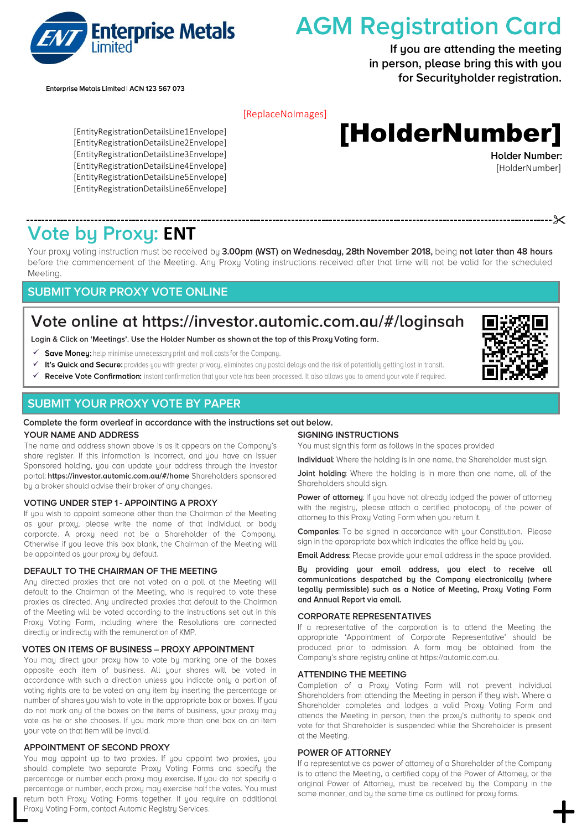

# **AGM Registration Card**

If you are attending the meeting in person, please bring this with you for Securityholder registration.

Enterprise Metals Limited | ACN 123 567 073

#### [ReplaceNoImages]

# [HolderNumber]

[EntityRegistrationDetailsLine1Envelope] [EntityRegistrationDetailsLine2Envelope] [EntityRegistrationDetailsLine3Envelope] [EntityRegistrationDetailsLine4Envelope] [EntityRegistrationDetailsLine5Envelope] [EntityRegistrationDetailsLine6Envelope]

**Holder Number:** [HolderNumber]

# **Vote by Proxy: ENT**

Your proxy voting instruction must be received by 3.00pm (WST) on Wednesday, 28th November 2018, being not later than 48 hours before the commencement of the Meeting. Any Proxy Voting instructions received after that time will not be valid for the scheduled Meeting.

#### **SUBMIT YOUR PROXY VOTE ONLINE**

# Vote online at https://investor.automic.com.au/#/loginsah

Login & Click on 'Meetings'. Use the Holder Number as shown at the top of this Proxy Voting form.

- ✓ Save Money: help minimise unnecessary print and mail costs for the Company.
- It's Quick and Secure: provides you with greater privacy, eliminates any postal delays and the risk of potentially getting lost in transit. ✓
- Receive Vote Confirmation: instant confirmation that your vote has been processed. It also allows you to amend your vote if required. ✓

#### **SUBMIT YOUR PROXY VOTE BY PAPER**

#### Complete the form overleaf in accordance with the instructions set out below.

#### YOUR NAME AND ADDRESS

The name and address shown above is as it appears on the Company's share register. If this information is incorrect, and you have an Issuer Sponsored holding, you can update your address through the investor portal: https://investor.automic.com.au/#/home Shareholders sponsored by a broker should advise their broker of any changes.

#### **VOTING UNDER STEP 1 - APPOINTING A PROXY**

If you wish to appoint someone other than the Chairman of the Meeting as your proxy, please write the name of that Individual or body corporate. A proxy need not be a Shareholder of the Company. Otherwise if you leave this box blank, the Chairman of the Meeting will be appointed as your proxy by default.

#### DEFAULT TO THE CHAIRMAN OF THE MEETING

Any directed proxies that are not voted on a poll at the Meetina will default to the Chairman of the Meeting, who is required to vote these proxies as directed. Any undirected proxies that default to the Chairman of the Meeting will be voted according to the instructions set out in this Proxy Voting Form, including where the Resolutions are connected directly or indirectly with the remuneration of KMP.

#### VOTES ON ITEMS OF BUSINESS - PROXY APPOINTMENT

You may direct your proxy how to vote by marking one of the boxes opposite each item of business. All your shares will be voted in accordance with such a direction unless you indicate only a portion of voting rights are to be voted on any item by inserting the percentage or number of shares you wish to vote in the appropriate box or boxes. If you do not mark any of the boxes on the items of business, your proxy may vote as he or she chooses. If you mark more than one box on an item your vote on that item will be invalid.

#### **APPOINTMENT OF SECOND PROXY**

You may appoint up to two proxies. If you appoint two proxies, you should complete two separate Proxy Voting Forms and specify the percentage or number each proxy may exercise. If you do not specify a Percentage of hamber, each proxy may exercise had the votes. You must<br>return both Proxy Voting Form, contact Automic Registry Services.<br>Proxy Voting Form, contact Automic Registry Services.

#### **SIGNING INSTRUCTIONS**

You must sign this form as follows in the spaces provided

Individual: Where the holding is in one name, the Shareholder must sign.

Joint holding: Where the holding is in more than one name, all of the Shareholders should sign.

Power of attorney: If you have not already lodged the power of attorney with the registry, please attach a certified photocopy of the power of attorney to this Proxy Voting Form when you return it.

**Companies:** To be signed in accordance with your Constitution. Please sign in the appropriate box which indicates the office held by you.

Email Address: Please provide your email address in the space provided.

By providing your email address, you elect to receive all communications despatched by the Company electronically (where legally permissible) such as a Notice of Meeting, Proxy Voting Form and Annual Report via email.

#### **CORPORATE REPRESENTATIVES**

If a representative of the corporation is to attend the Meeting the appropriate 'Appointment of Corporate Representative' should be produced prior to admission. A form may be obtained from the Company's share registry online at https://automic.com.au.

#### **ATTENDING THE MEETING**

Completion of a Proxy Voting Form will not prevent individual Shareholders from attending the Meeting in person if they wish. Where a Shareholder completes and lodges a valid Proxy Voting Form and attends the Meeting in person, then the proxy's authority to speak and vote for that Shareholder is suspended while the Shareholder is present at the Meeting.

#### **POWER OF ATTORNEY**

If a representative as power of attorney of a Shareholder of the Company is to attend the Meeting, a certified copy of the Power of Attorney, or the original Power of Attorney, must be received by the Company in the